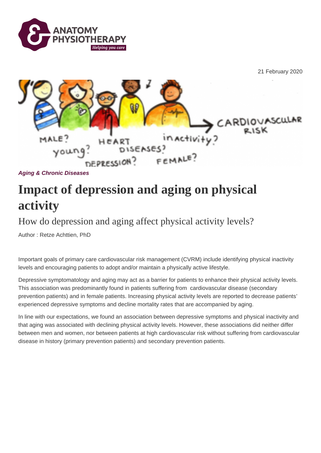

21 February 2020



**Aging & Chronic Diseases**

## **Impact of depression and aging on physical activity**

How do depression and aging affect physical activity levels?

Author : Retze Achttien, PhD

Important goals of primary care cardiovascular risk management (CVRM) include identifying physical inactivity levels and encouraging patients to adopt and/or maintain a physically active lifestyle.

Depressive symptomatology and aging may act as a barrier for patients to enhance their physical activity levels. This association was predominantly found in patients suffering from cardiovascular disease (secondary prevention patients) and in female patients. Increasing physical activity levels are reported to decrease patients' experienced depressive symptoms and decline mortality rates that are accompanied by aging.

In line with our expectations, we found an association between depressive symptoms and physical inactivity and that aging was associated with declining physical activity levels. However, these associations did neither differ between men and women, nor between patients at high cardiovascular risk without suffering from cardiovascular disease in history (primary prevention patients) and secondary prevention patients.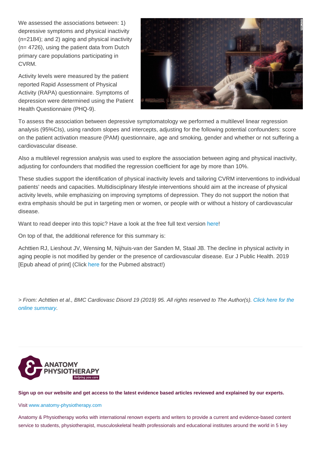We assessed the associations between: 1) depressive symptoms and physical inactivity (n=2184); and 2) aging and physical inactivity (n= 4726), using the patient data from Dutch primary care populations participating in CVRM.

Activity levels were measured by the patient reported Rapid Assessment of Physical Activity (RAPA) questionnaire. Symptoms of depression were determined using the Patient Health Questionnaire (PHQ-9).

To assess the association between depressive symptomatology we performed a multilevel linear regression analysis (95%CIs), using random slopes and intercepts, adjusting for the following potential confounders: score on the patient activation measure (PAM) questionnaire, age and smoking, gender and whether or not suffering a cardiovascular disease.

Also a multilevel regression analysis was used to explore the association between aging and physical inactivity, adjusting for confounders that modified the regression coefficient for age by more than 10%.

These studies support the identification of physical inactivity levels and tailoring CVRM interventions to individual patients' needs and capacities. Multidisciplinary lifestyle interventions should aim at the increase of physical activity levels, while emphasizing on improving symptoms of depression. They do not support the notion that extra emphasis should be put in targeting men or women, or people with or without a history of cardiovascular disease.

Want to read deeper into this topic? Have a look at the free full text version [here](https://www.ncbi.nlm.nih.gov/pmc/articles/PMC6482537/pdf/12872_2019_Article_1065.pdf)!

On top of that, the additional reference for this summary is:

Achttien RJ, Lieshout JV, Wensing M, Nijhuis-van der Sanden M, Staal JB. The decline in physical activity in aging people is not modified by gender or the presence of cardiovascular disease. Eur J Public Health. 2019 [Epub ahead of print] (Click [here f](https://www.ncbi.nlm.nih.gov/pubmed/31562513)or the Pubmed abstract!)

> From: Achttien et al., BMC Cardiovasc Disord 19 (2019) 95. All rights reserved to The Author(s). [Click here for the](https://www.ncbi.nlm.nih.gov/pubmed/31023228)  [online summary.](https://www.ncbi.nlm.nih.gov/pubmed/31023228)

Sign up on our website and get access to the latest evidence based articles reviewed and explained by our experts.

Visit [www.anatomy-physiotherapy.com](https://www.anatomy-physiotherapy.com)

Anatomy & Physiotherapy works with international renown experts and writers to provide a current and evidence-based content service to students, physiotherapist, musculoskeletal health professionals and educational institutes around the world in 5 key